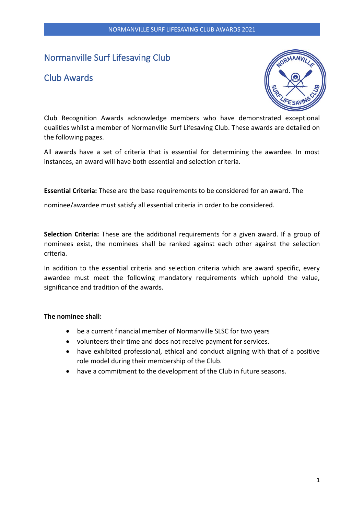# Normanville Surf Lifesaving Club

## Club Awards



Club Recognition Awards acknowledge members who have demonstrated exceptional qualities whilst a member of Normanville Surf Lifesaving Club. These awards are detailed on the following pages.

All awards have a set of criteria that is essential for determining the awardee. In most instances, an award will have both essential and selection criteria.

**Essential Criteria:** These are the base requirements to be considered for an award. The

nominee/awardee must satisfy all essential criteria in order to be considered.

**Selection Criteria:** These are the additional requirements for a given award. If a group of nominees exist, the nominees shall be ranked against each other against the selection criteria.

In addition to the essential criteria and selection criteria which are award specific, every awardee must meet the following mandatory requirements which uphold the value, significance and tradition of the awards.

### **The nominee shall:**

- be a current financial member of Normanville SLSC for two years
- volunteers their time and does not receive payment for services.
- have exhibited professional, ethical and conduct aligning with that of a positive role model during their membership of the Club.
- have a commitment to the development of the Club in future seasons.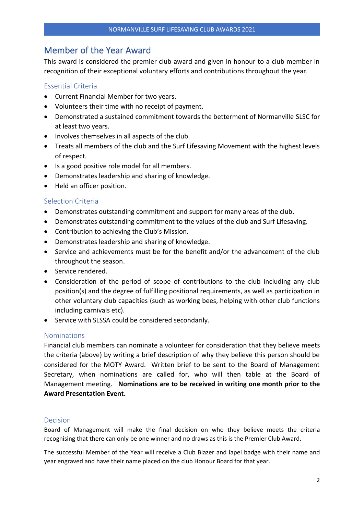## Member of the Year Award

This award is considered the premier club award and given in honour to a club member in recognition of their exceptional voluntary efforts and contributions throughout the year.

## Essential Criteria

- Current Financial Member for two years.
- Volunteers their time with no receipt of payment.
- Demonstrated a sustained commitment towards the betterment of Normanville SLSC for at least two years.
- Involves themselves in all aspects of the club.
- Treats all members of the club and the Surf Lifesaving Movement with the highest levels of respect.
- Is a good positive role model for all members.
- Demonstrates leadership and sharing of knowledge.
- Held an officer position.

### Selection Criteria

- Demonstrates outstanding commitment and support for many areas of the club.
- Demonstrates outstanding commitment to the values of the club and Surf Lifesaving.
- Contribution to achieving the Club's Mission.
- Demonstrates leadership and sharing of knowledge.
- Service and achievements must be for the benefit and/or the advancement of the club throughout the season.
- Service rendered.
- Consideration of the period of scope of contributions to the club including any club position(s) and the degree of fulfilling positional requirements, as well as participation in other voluntary club capacities (such as working bees, helping with other club functions including carnivals etc).
- Service with SLSSA could be considered secondarily.

### Nominations

Financial club members can nominate a volunteer for consideration that they believe meets the criteria (above) by writing a brief description of why they believe this person should be considered for the MOTY Award. Written brief to be sent to the Board of Management Secretary, when nominations are called for, who will then table at the Board of Management meeting. **Nominations are to be received in writing one month prior to the Award Presentation Event.** 

### Decision

Board of Management will make the final decision on who they believe meets the criteria recognising that there can only be one winner and no draws as this is the Premier Club Award.

The successful Member of the Year will receive a Club Blazer and lapel badge with their name and year engraved and have their name placed on the club Honour Board for that year.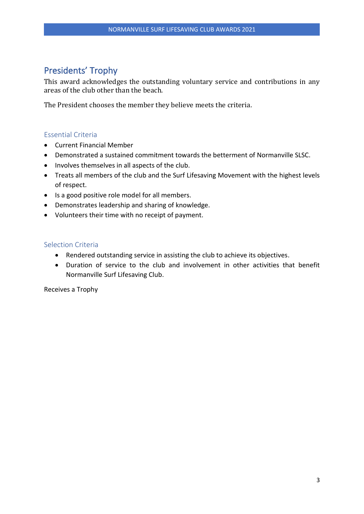# Presidents' Trophy

This award acknowledges the outstanding voluntary service and contributions in any areas of the club other than the beach.

The President chooses the member they believe meets the criteria.

## Essential Criteria

- Current Financial Member
- Demonstrated a sustained commitment towards the betterment of Normanville SLSC.
- Involves themselves in all aspects of the club.
- Treats all members of the club and the Surf Lifesaving Movement with the highest levels of respect.
- Is a good positive role model for all members.
- Demonstrates leadership and sharing of knowledge.
- Volunteers their time with no receipt of payment.

### Selection Criteria

- Rendered outstanding service in assisting the club to achieve its objectives.
- Duration of service to the club and involvement in other activities that benefit Normanville Surf Lifesaving Club.

Receives a Trophy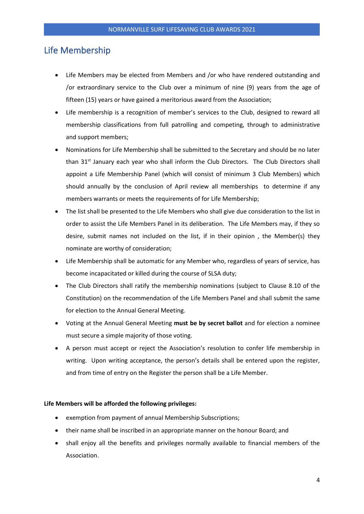## Life Membership

- Life Members may be elected from Members and /or who have rendered outstanding and /or extraordinary service to the Club over a minimum of nine (9) years from the age of fifteen (15) years or have gained a meritorious award from the Association;
- Life membership is a recognition of member's services to the Club, designed to reward all membership classifications from full patrolling and competing, through to administrative and support members;
- Nominations for Life Membership shall be submitted to the Secretary and should be no later than 31<sup>st</sup> January each year who shall inform the Club Directors. The Club Directors shall appoint a Life Membership Panel (which will consist of minimum 3 Club Members) which should annually by the conclusion of April review all memberships to determine if any members warrants or meets the requirements of for Life Membership;
- The list shall be presented to the Life Members who shall give due consideration to the list in order to assist the Life Members Panel in its deliberation. The Life Members may, if they so desire, submit names not included on the list, if in their opinion , the Member(s) they nominate are worthy of consideration;
- Life Membership shall be automatic for any Member who, regardless of years of service, has become incapacitated or killed during the course of SLSA duty;
- The Club Directors shall ratify the membership nominations (subject to Clause 8.10 of the Constitution) on the recommendation of the Life Members Panel and shall submit the same for election to the Annual General Meeting.
- Voting at the Annual General Meeting **must be by secret ballot** and for election a nominee must secure a simple majority of those voting.
- A person must accept or reject the Association's resolution to confer life membership in writing. Upon writing acceptance, the person's details shall be entered upon the register, and from time of entry on the Register the person shall be a Life Member.

#### **Life Members will be afforded the following privileges:**

- exemption from payment of annual Membership Subscriptions;
- their name shall be inscribed in an appropriate manner on the honour Board; and
- shall enjoy all the benefits and privileges normally available to financial members of the Association.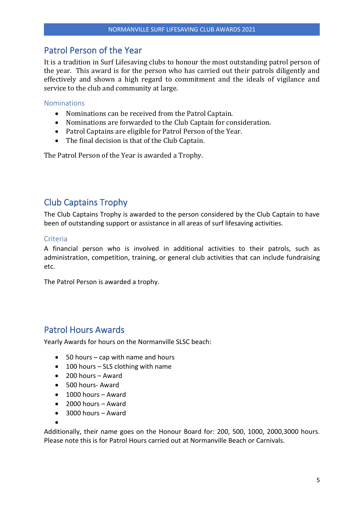## Patrol Person of the Year

It is a tradition in Surf Lifesaving clubs to honour the most outstanding patrol person of the year. This award is for the person who has carried out their patrols diligently and effectively and shown a high regard to commitment and the ideals of vigilance and service to the club and community at large.

### Nominations

- Nominations can be received from the Patrol Captain.
- Nominations are forwarded to the Club Captain for consideration.
- Patrol Captains are eligible for Patrol Person of the Year.
- The final decision is that of the Club Captain.

The Patrol Person of the Year is awarded a Trophy.

## Club Captains Trophy

The Club Captains Trophy is awarded to the person considered by the Club Captain to have been of outstanding support or assistance in all areas of surf lifesaving activities.

### Criteria

A financial person who is involved in additional activities to their patrols, such as administration, competition, training, or general club activities that can include fundraising etc.

The Patrol Person is awarded a trophy.

## Patrol Hours Awards

Yearly Awards for hours on the Normanville SLSC beach:

- 50 hours cap with name and hours
- 100 hours SLS clothing with name
- 200 hours Award
- 500 hours- Award
- 1000 hours Award
- 2000 hours Award
- 3000 hours Award

•

Additionally, their name goes on the Honour Board for: 200, 500, 1000, 2000,3000 hours. Please note this is for Patrol Hours carried out at Normanville Beach or Carnivals.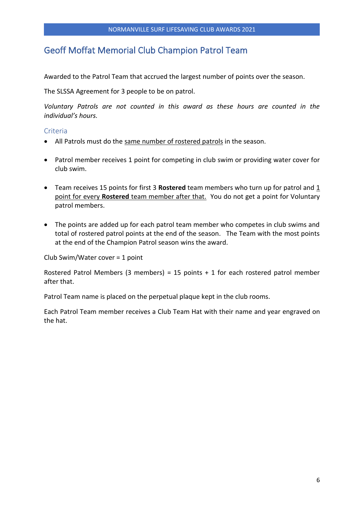## Geoff Moffat Memorial Club Champion Patrol Team

Awarded to the Patrol Team that accrued the largest number of points over the season.

The SLSSA Agreement for 3 people to be on patrol.

*Voluntary Patrols are not counted in this award as these hours are counted in the individual's hours.* 

### **Criteria**

- All Patrols must do the same number of rostered patrols in the season.
- Patrol member receives 1 point for competing in club swim or providing water cover for club swim.
- Team receives 15 points for first 3 **Rostered** team members who turn up for patrol and 1 point for every **Rostered** team member after that. You do not get a point for Voluntary patrol members.
- The points are added up for each patrol team member who competes in club swims and total of rostered patrol points at the end of the season. The Team with the most points at the end of the Champion Patrol season wins the award.

Club Swim/Water cover = 1 point

Rostered Patrol Members (3 members) = 15 points + 1 for each rostered patrol member after that.

Patrol Team name is placed on the perpetual plaque kept in the club rooms.

Each Patrol Team member receives a Club Team Hat with their name and year engraved on the hat.